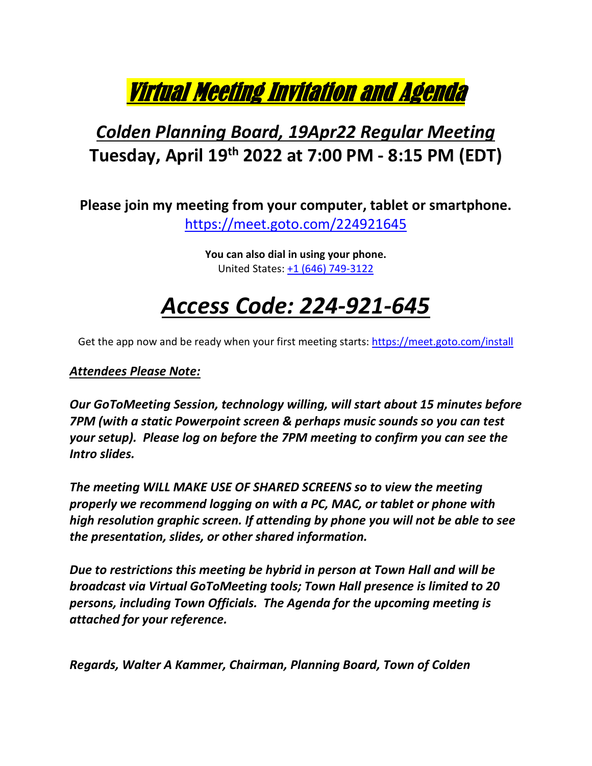

### *Colden Planning Board, 19Apr22 Regular Meeting* **Tuesday, April 19th 2022 at 7:00 PM - 8:15 PM (EDT)**

**Please join my meeting from your computer, tablet or smartphone.**  <https://meet.goto.com/224921645>

> **You can also dial in using your phone.** United States: [+1 \(646\) 749-3122](tel:+16467493122,,224921645)

## *Access Code: 224-921-645*

Get the app now and be ready when your first meeting starts[: https://meet.goto.com/install](https://meet.goto.com/install)

#### *Attendees Please Note:*

*Our GoToMeeting Session, technology willing, will start about 15 minutes before 7PM (with a static Powerpoint screen & perhaps music sounds so you can test your setup). Please log on before the 7PM meeting to confirm you can see the Intro slides.*

*The meeting WILL MAKE USE OF SHARED SCREENS so to view the meeting properly we recommend logging on with a PC, MAC, or tablet or phone with high resolution graphic screen. If attending by phone you will not be able to see the presentation, slides, or other shared information.* 

*Due to restrictions this meeting be hybrid in person at Town Hall and will be broadcast via Virtual GoToMeeting tools; Town Hall presence is limited to 20 persons, including Town Officials. The Agenda for the upcoming meeting is attached for your reference.* 

*Regards, Walter A Kammer, Chairman, Planning Board, Town of Colden*